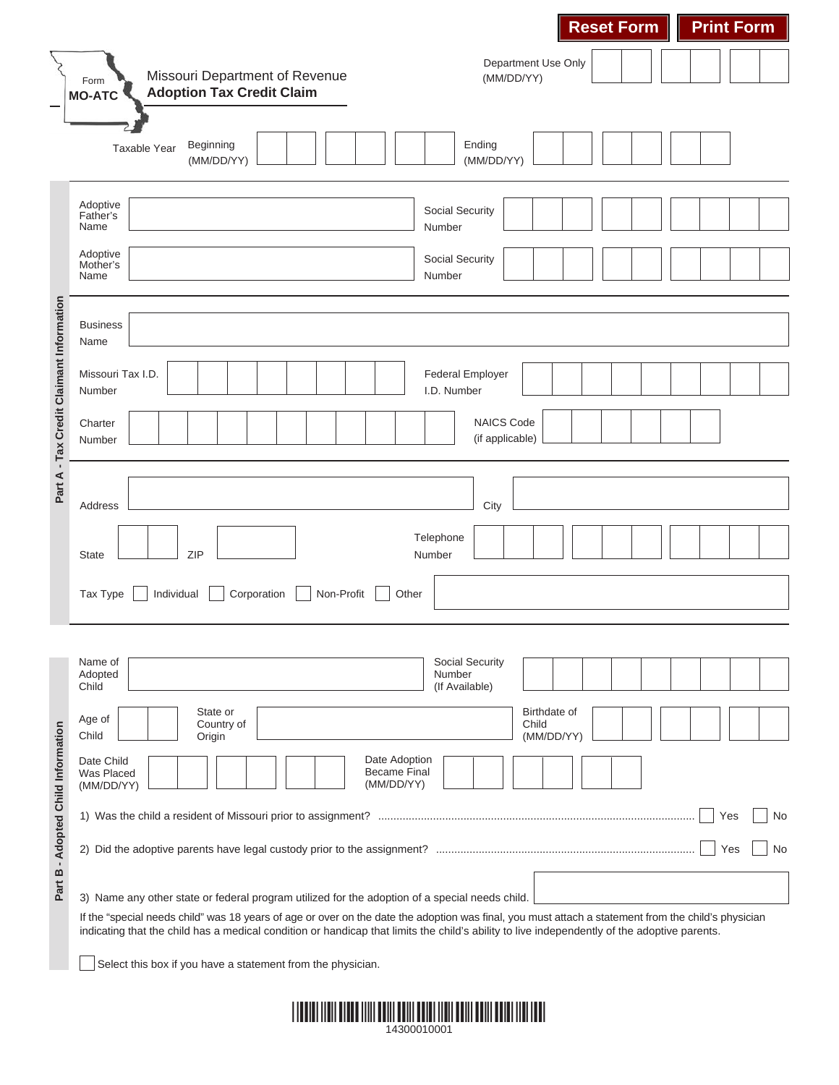|                                          |                                                                                                                                                                                                                                                                                                     | <b>Reset Form</b>                           | <b>Print Form</b> |  |  |  |
|------------------------------------------|-----------------------------------------------------------------------------------------------------------------------------------------------------------------------------------------------------------------------------------------------------------------------------------------------------|---------------------------------------------|-------------------|--|--|--|
|                                          | Missouri Department of Revenue<br>Form<br><b>Adoption Tax Credit Claim</b><br><b>MO-ATC</b>                                                                                                                                                                                                         | Department Use Only<br>(MM/DD/YY)           |                   |  |  |  |
|                                          | Beginning<br>Taxable Year<br>(MM/DD/YY)                                                                                                                                                                                                                                                             | Ending<br>(MM/DD/YY)                        |                   |  |  |  |
|                                          | Adoptive<br>Father's<br>Name                                                                                                                                                                                                                                                                        | Social Security<br>Number                   |                   |  |  |  |
|                                          | Adoptive<br>Mother's<br>Name                                                                                                                                                                                                                                                                        | Social Security<br>Number                   |                   |  |  |  |
| Part A - Tax Credit Claimant Information | <b>Business</b><br>Name                                                                                                                                                                                                                                                                             |                                             |                   |  |  |  |
|                                          | Missouri Tax I.D.<br>Number                                                                                                                                                                                                                                                                         | <b>Federal Employer</b><br>I.D. Number      |                   |  |  |  |
|                                          | Charter<br>Number                                                                                                                                                                                                                                                                                   | <b>NAICS Code</b><br>(if applicable)        |                   |  |  |  |
|                                          | Address                                                                                                                                                                                                                                                                                             | City                                        |                   |  |  |  |
|                                          | ZIP<br><b>State</b>                                                                                                                                                                                                                                                                                 | Telephone<br>Number                         |                   |  |  |  |
|                                          | Non-Profit<br>Tax Type<br>Individual<br>Corporation<br>Other                                                                                                                                                                                                                                        |                                             |                   |  |  |  |
|                                          | Name of<br>Adopted<br>Child                                                                                                                                                                                                                                                                         | Social Security<br>Number<br>(If Available) |                   |  |  |  |
| Part B - Adopted Child Information       | State or<br>Age of<br>Country of<br>Child<br>Origin                                                                                                                                                                                                                                                 | Birthdate of<br>Child<br>(MM/DD/YY)         |                   |  |  |  |
|                                          | Date Adoption<br>Date Child<br><b>Became Final</b><br>Was Placed<br>(MM/DD/YY)<br>(MM/DD/YY)                                                                                                                                                                                                        |                                             |                   |  |  |  |
|                                          |                                                                                                                                                                                                                                                                                                     |                                             | Yes<br>No         |  |  |  |
|                                          |                                                                                                                                                                                                                                                                                                     |                                             | Yes<br>No         |  |  |  |
|                                          | 3) Name any other state or federal program utilized for the adoption of a special needs child.                                                                                                                                                                                                      |                                             |                   |  |  |  |
|                                          | If the "special needs child" was 18 years of age or over on the date the adoption was final, you must attach a statement from the child's physician<br>indicating that the child has a medical condition or handicap that limits the child's ability to live independently of the adoptive parents. |                                             |                   |  |  |  |
|                                          |                                                                                                                                                                                                                                                                                                     |                                             |                   |  |  |  |

Select this box if you have a statement from the physician.